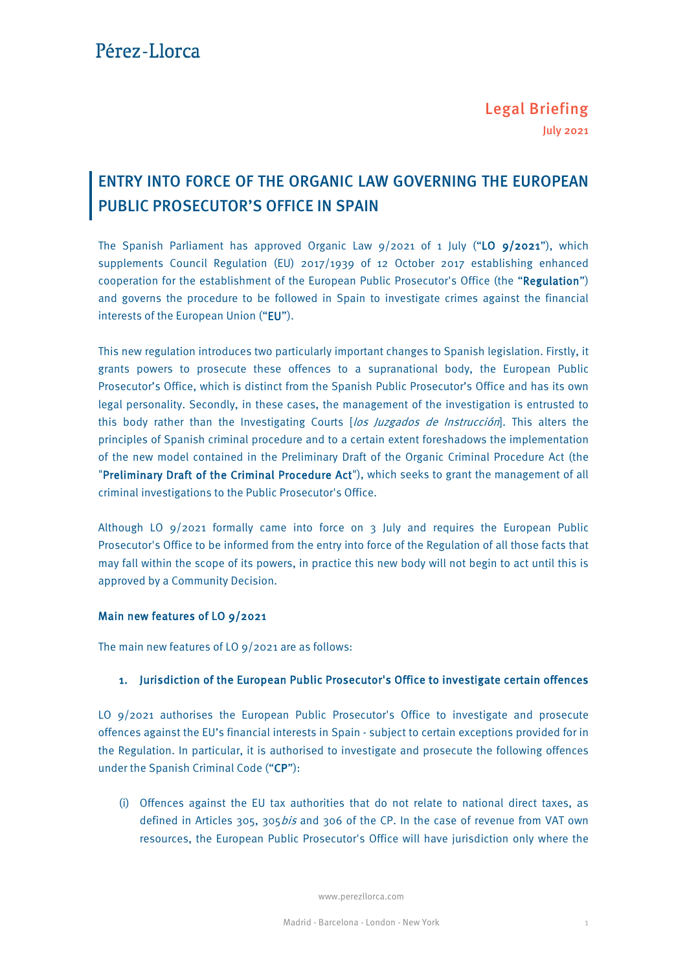# ENTRY INTO FORCE OF THE ORGANIC LAW GOVERNING THE EUROPEAN PUBLIC PROSECUTOR'S OFFICE IN SPAIN

The Spanish Parliament has approved Organic Law  $9/2021$  of 1 July ("LO  $9/2021$ "), which supplements Council Regulation (EU) 2017/1939 of 12 October 2017 establishing enhanced cooperation for the establishment of the European Public Prosecutor's Office (the "Regulation") and governs the procedure to be followed in Spain to investigate crimes against the financial interests of the European Union ("EU").

This new regulation introduces two particularly important changes to Spanish legislation. Firstly, it grants powers to prosecute these offences to a supranational body, the European Public Prosecutor's Office, which is distinct from the Spanish Public Prosecutor's Office and has its own legal personality. Secondly, in these cases, the management of the investigation is entrusted to this body rather than the Investigating Courts [los Juzgados de Instrucción]. This alters the principles of Spanish criminal procedure and to a certain extent foreshadows the implementation of the new model contained in the Preliminary Draft of the Organic Criminal Procedure Act (the "Preliminary Draft of the Criminal Procedure Act"), which seeks to grant the management of all criminal investigations to the Public Prosecutor's Office.

Although LO 9/2021 formally came into force on 3 July and requires the European Public Prosecutor's Office to be informed from the entry into force of the Regulation of all those facts that may fall within the scope of its powers, in practice this new body will not begin to act until this is approved by a Community Decision.

#### Main new features of LO 9/2021

The main new features of LO 9/2021 are as follows:

#### 1. Jurisdiction of the European Public Prosecutor's Office to investigate certain offences

LO 9/2021 authorises the European Public Prosecutor's Office to investigate and prosecute offences against the EU's financial interests in Spain - subject to certain exceptions provided for in the Regulation. In particular, it is authorised to investigate and prosecute the following offences under the Spanish Criminal Code ("CP"):

(i) Offences against the EU tax authorities that do not relate to national direct taxes, as defined in Articles 305, 305*bis* and 306 of the CP. In the case of revenue from VAT own resources, the European Public Prosecutor's Office will have jurisdiction only where the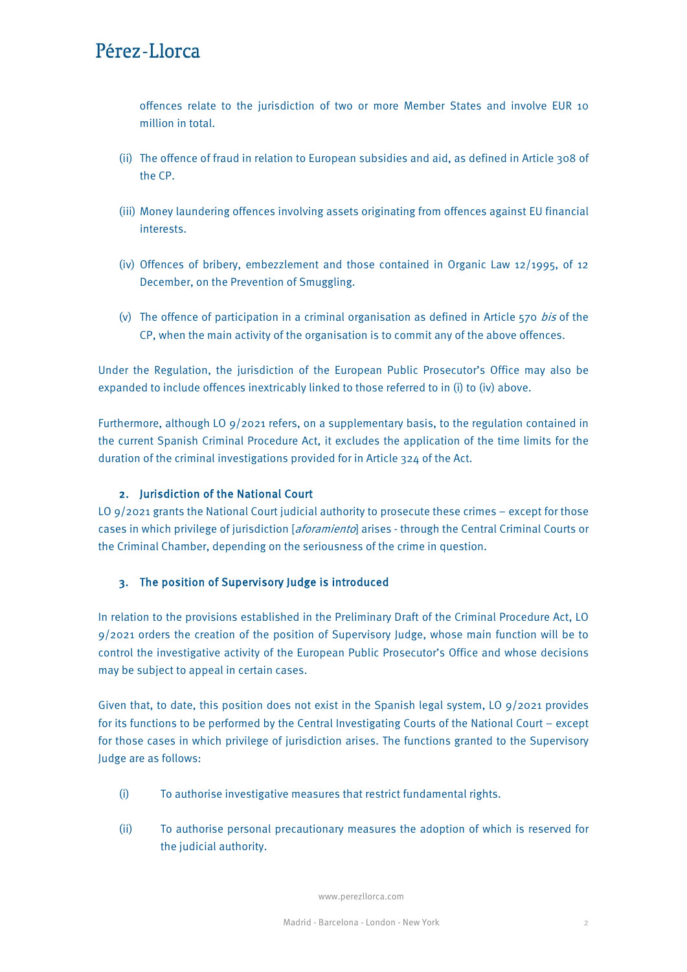# Pérez-Llorca

offences relate to the jurisdiction of two or more Member States and involve EUR 10 million in total.

- (ii) The offence of fraud in relation to European subsidies and aid, as defined in Article 308 of the CP.
- (iii) Money laundering offences involving assets originating from offences against EU financial interests.
- (iv) Offences of bribery, embezzlement and those contained in Organic Law 12/1995, of 12 December, on the Prevention of Smuggling.
- (v) The offence of participation in a criminal organisation as defined in Article  $570$  bis of the CP, when the main activity of the organisation is to commit any of the above offences.

Under the Regulation, the jurisdiction of the European Public Prosecutor's Office may also be expanded to include offences inextricably linked to those referred to in (i) to (iv) above.

Furthermore, although LO 9/2021 refers, on a supplementary basis, to the regulation contained in the current Spanish Criminal Procedure Act, it excludes the application of the time limits for the duration of the criminal investigations provided for in Article 324 of the Act.

### 2. Jurisdiction of the National Court

LO 9/2021 grants the National Court judicial authority to prosecute these crimes – except for those cases in which privilege of jurisdiction [aforamiento] arises - through the Central Criminal Courts or the Criminal Chamber, depending on the seriousness of the crime in question.

### 3. The position of Supervisory Judge is introduced

In relation to the provisions established in the Preliminary Draft of the Criminal Procedure Act, LO 9/2021 orders the creation of the position of Supervisory Judge, whose main function will be to control the investigative activity of the European Public Prosecutor's Office and whose decisions may be subject to appeal in certain cases.

Given that, to date, this position does not exist in the Spanish legal system, LO  $9/2021$  provides for its functions to be performed by the Central Investigating Courts of the National Court – except for those cases in which privilege of jurisdiction arises. The functions granted to the Supervisory Judge are as follows:

- (i) To authorise investigative measures that restrict fundamental rights.
- (ii) To authorise personal precautionary measures the adoption of which is reserved for the judicial authority.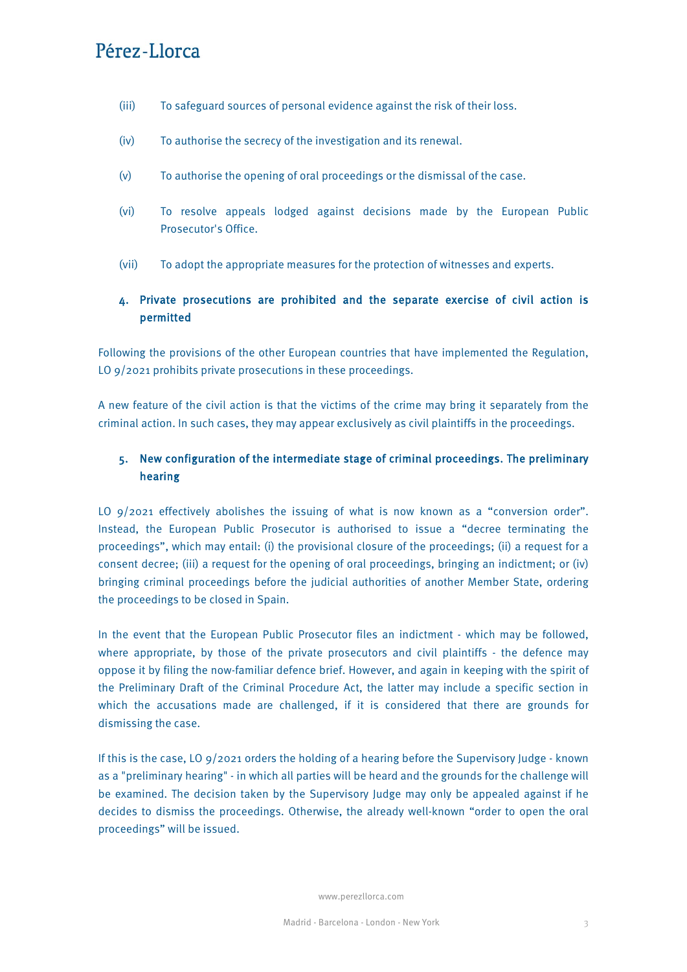# Pérez-Llorca

- (iii) To safeguard sources of personal evidence against the risk of their loss.
- (iv) To authorise the secrecy of the investigation and its renewal.
- (v) To authorise the opening of oral proceedings or the dismissal of the case.
- (vi) To resolve appeals lodged against decisions made by the European Public Prosecutor's Office.
- (vii) To adopt the appropriate measures for the protection of witnesses and experts.

### 4. Private prosecutions are prohibited and the separate exercise of civil action is permitted

Following the provisions of the other European countries that have implemented the Regulation, LO 9/2021 prohibits private prosecutions in these proceedings.

A new feature of the civil action is that the victims of the crime may bring it separately from the criminal action. In such cases, they may appear exclusively as civil plaintiffs in the proceedings.

### 5. New configuration of the intermediate stage of criminal proceedings. The preliminary hearing

LO 9/2021 effectively abolishes the issuing of what is now known as a "conversion order". Instead, the European Public Prosecutor is authorised to issue a "decree terminating the proceedings", which may entail: (i) the provisional closure of the proceedings; (ii) a request for a consent decree; (iii) a request for the opening of oral proceedings, bringing an indictment; or (iv) bringing criminal proceedings before the judicial authorities of another Member State, ordering the proceedings to be closed in Spain.

In the event that the European Public Prosecutor files an indictment - which may be followed, where appropriate, by those of the private prosecutors and civil plaintiffs - the defence may oppose it by filing the now-familiar defence brief. However, and again in keeping with the spirit of the Preliminary Draft of the Criminal Procedure Act, the latter may include a specific section in which the accusations made are challenged, if it is considered that there are grounds for dismissing the case.

If this is the case, LO 9/2021 orders the holding of a hearing before the Supervisory Judge - known as a "preliminary hearing" - in which all parties will be heard and the grounds for the challenge will be examined. The decision taken by the Supervisory Judge may only be appealed against if he decides to dismiss the proceedings. Otherwise, the already well-known "order to open the oral proceedings" will be issued.